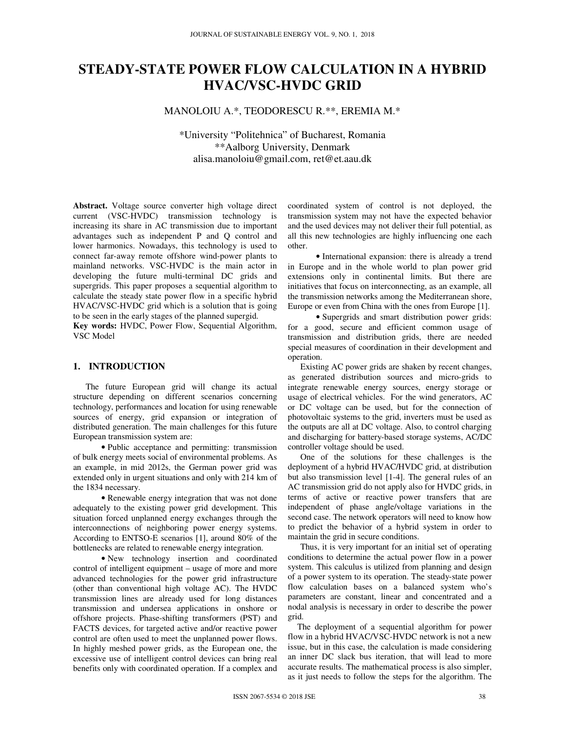# **STEADY-STATE POWER FLOW CALCULATION IN A HYBRID HVAC/VSC-HVDC GRID**

## MANOLOIU A.\*, TEODORESCU R.\*\*, EREMIA M.\*

\*University "Politehnica" of Bucharest, Romania \*\*Aalborg University, Denmark alisa.manoloiu@gmail.com, ret@et.aau.dk

**Abstract.** Voltage source converter high voltage direct current (VSC-HVDC) transmission technology is increasing its share in AC transmission due to important advantages such as independent P and Q control and lower harmonics. Nowadays, this technology is used to connect far-away remote offshore wind-power plants to mainland networks. VSC-HVDC is the main actor in developing the future multi-terminal DC grids and supergrids. This paper proposes a sequential algorithm to calculate the steady state power flow in a specific hybrid HVAC/VSC-HVDC grid which is a solution that is going to be seen in the early stages of the planned supergid.

**Key words:** HVDC, Power Flow, Sequential Algorithm, VSC Model

## **1. INTRODUCTION**

The future European grid will change its actual structure depending on different scenarios concerning technology, performances and location for using renewable sources of energy, grid expansion or integration of distributed generation. The main challenges for this future European transmission system are:

• Public acceptance and permitting: transmission of bulk energy meets social of environmental problems. As an example, in mid 2012s, the German power grid was extended only in urgent situations and only with 214 km of the 1834 necessary.

• Renewable energy integration that was not done adequately to the existing power grid development. This situation forced unplanned energy exchanges through the interconnections of neighboring power energy systems. According to ENTSO-E scenarios [1], around 80% of the bottlenecks are related to renewable energy integration.

• New technology insertion and coordinated control of intelligent equipment – usage of more and more advanced technologies for the power grid infrastructure (other than conventional high voltage AC). The HVDC transmission lines are already used for long distances transmission and undersea applications in onshore or offshore projects. Phase-shifting transformers (PST) and FACTS devices, for targeted active and/or reactive power control are often used to meet the unplanned power flows. In highly meshed power grids, as the European one, the excessive use of intelligent control devices can bring real benefits only with coordinated operation. If a complex and

coordinated system of control is not deployed, the transmission system may not have the expected behavior and the used devices may not deliver their full potential, as all this new technologies are highly influencing one each other.

• International expansion: there is already a trend in Europe and in the whole world to plan power grid extensions only in continental limits. But there are initiatives that focus on interconnecting, as an example, all the transmission networks among the Mediterranean shore, Europe or even from China with the ones from Europe [1].

• Supergrids and smart distribution power grids: for a good, secure and efficient common usage of transmission and distribution grids, there are needed special measures of coordination in their development and operation.

Existing AC power grids are shaken by recent changes, as generated distribution sources and micro-grids to integrate renewable energy sources, energy storage or usage of electrical vehicles. For the wind generators, AC or DC voltage can be used, but for the connection of photovoltaic systems to the grid, inverters must be used as the outputs are all at DC voltage. Also, to control charging and discharging for battery-based storage systems, AC/DC controller voltage should be used.

One of the solutions for these challenges is the deployment of a hybrid HVAC/HVDC grid, at distribution but also transmission level [1-4]. The general rules of an AC transmission grid do not apply also for HVDC grids, in terms of active or reactive power transfers that are independent of phase angle/voltage variations in the second case. The network operators will need to know how to predict the behavior of a hybrid system in order to maintain the grid in secure conditions.

Thus, it is very important for an initial set of operating conditions to determine the actual power flow in a power system. This calculus is utilized from planning and design of a power system to its operation. The steady-state power flow calculation bases on a balanced system who's parameters are constant, linear and concentrated and a nodal analysis is necessary in order to describe the power grid.

The deployment of a sequential algorithm for power flow in a hybrid HVAC/VSC-HVDC network is not a new issue, but in this case, the calculation is made considering an inner DC slack bus iteration, that will lead to more accurate results. The mathematical process is also simpler, as it just needs to follow the steps for the algorithm. The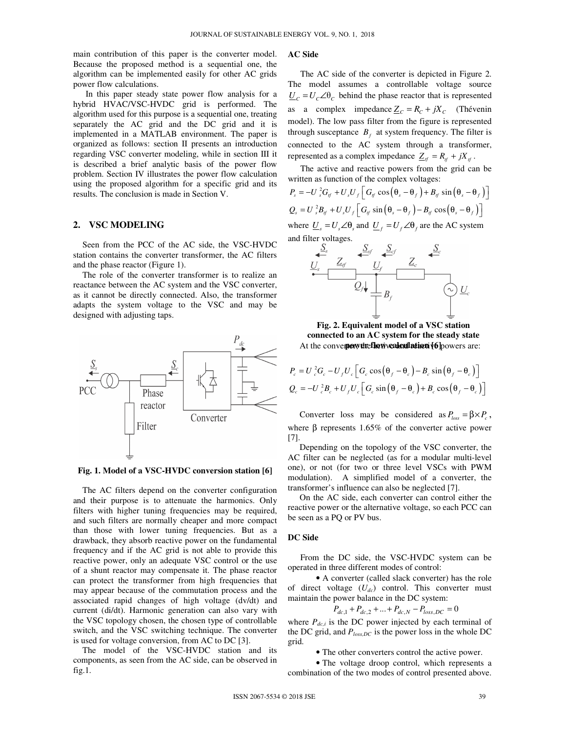main contribution of this paper is the converter model. Because the proposed method is a sequential one, the algorithm can be implemented easily for other AC grids power flow calculations.

In this paper steady state power flow analysis for a hybrid HVAC/VSC-HVDC grid is performed. The algorithm used for this purpose is a sequential one, treating separately the AC grid and the DC grid and it is implemented in a MATLAB environment. The paper is organized as follows: section II presents an introduction regarding VSC converter modeling, while in section III it is described a brief analytic basis of the power flow problem. Section IV illustrates the power flow calculation using the proposed algorithm for a specific grid and its results. The conclusion is made in Section V.

## **2. VSC MODELING**

Seen from the PCC of the AC side, the VSC-HVDC station contains the converter transformer, the AC filters and the phase reactor (Figure 1).

The role of the converter transformer is to realize an reactance between the AC system and the VSC converter, as it cannot be directly connected. Also, the transformer adapts the system voltage to the VSC and may be designed with adjusting taps.



**Fig. 1. Model of a VSC-HVDC conversion station [6]** 

The AC filters depend on the converter configuration and their purpose is to attenuate the harmonics. Only filters with higher tuning frequencies may be required, and such filters are normally cheaper and more compact than those with lower tuning frequencies. But as a drawback, they absorb reactive power on the fundamental frequency and if the AC grid is not able to provide this reactive power, only an adequate VSC control or the use of a shunt reactor may compensate it. The phase reactor can protect the transformer from high frequencies that may appear because of the commutation process and the associated rapid changes of high voltage (dv/dt) and current (di/dt). Harmonic generation can also vary with the VSC topology chosen, the chosen type of controllable switch, and the VSC switching technique. The converter is used for voltage conversion, from AC to DC [3].

The model of the VSC-HVDC station and its components, as seen from the AC side, can be observed in fig.1.

## **AC Side**

The AC side of the converter is depicted in Figure 2. The model assumes a controllable voltage source  $\underline{U}_c = U_c \angle \theta_c$  behind the phase reactor that is represented as a complex impedance  $Z_c = R_c + jX_c$  (Thévenin model). The low pass filter from the figure is represented through susceptance  $B_f$  at system frequency. The filter is connected to the AC system through a transformer, represented as a complex impedance  $Z_{tf} = R_{tf} + jX_{tf}$ .

The active and reactive powers from the grid can be written as function of the complex voltages:

$$
P_s = -U_s^2 G_{tf} + U_s U_f \left[ G_{tf} \cos(\theta_s - \theta_f) + B_{tf} \sin(\theta_s - \theta_f) \right]
$$
  
\n
$$
Q_s = U_s^2 B_{tf} + U_s U_f \left[ G_{tf} \sin(\theta_s - \theta_f) - B_{tf} \cos(\theta_s - \theta_f) \right]
$$
  
\nwhere  $U_s = U_s \angle \theta_s$  and  $U_f = U_f \angle \theta_f$  are the AC system



**Fig. 2. Equivalent model of a VSC station connected to an AC system for the steady state**  At the converter, the flow **calculation** (6) powers are:

$$
P_c = U_c^2 G_c - U_f U_c \Big[ G_c \cos(\theta_f - \theta_c) - B_c \sin(\theta_f - \theta_c) \Big]
$$
  

$$
Q_c = -U_c^2 B_c + U_f U_c \Big[ G_c \sin(\theta_f - \theta_c) + B_c \cos(\theta_f - \theta_c) \Big]
$$

Converter loss may be considered as  $P_{loss} = \beta \times P_c$ , where β represents  $1.65%$  of the converter active power [7].

 Depending on the topology of the VSC converter, the AC filter can be neglected (as for a modular multi-level one), or not (for two or three level VSCs with PWM modulation). A simplified model of a converter, the transformer's influence can also be neglected [7].

 On the AC side, each converter can control either the reactive power or the alternative voltage, so each PCC can be seen as a PQ or PV bus.

#### **DC Side**

From the DC side, the VSC-HVDC system can be operated in three different modes of control:

• A converter (called slack converter) has the role of direct voltage  $(U_{dc})$  control. This converter must maintain the power balance in the DC system:

 $P_{dc,1} + P_{dc,2} + ... + P_{dc,N} - P_{loss,DC} = 0$ 

where  $P_{dc,i}$  is the DC power injected by each terminal of the DC grid, and *Ploss,DC* is the power loss in the whole DC grid.

• The other converters control the active power.

• The voltage droop control, which represents a combination of the two modes of control presented above.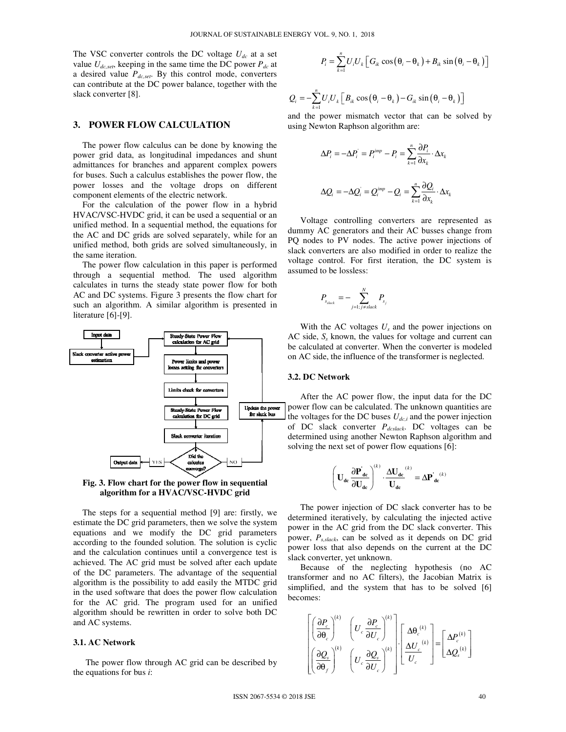The VSC converter controls the DC voltage  $U_{dc}$  at a set value  $U_{dc,set}$ , keeping in the same time the DC power  $P_{dc}$  at a desired value *Pdc,set*. By this control mode, converters can contribute at the DC power balance, together with the slack converter [8].

#### **3. POWER FLOW CALCULATION**

The power flow calculus can be done by knowing the power grid data, as longitudinal impedances and shunt admittances for branches and apparent complex powers for buses. Such a calculus establishes the power flow, the power losses and the voltage drops on different component elements of the electric network.

For the calculation of the power flow in a hybrid HVAC/VSC-HVDC grid, it can be used a sequential or an unified method. In a sequential method, the equations for the AC and DC grids are solved separately, while for an unified method, both grids are solved simultaneously, in the same iteration.

The power flow calculation in this paper is performed through a sequential method. The used algorithm calculates in turns the steady state power flow for both AC and DC systems. Figure 3 presents the flow chart for such an algorithm. A similar algorithm is presented in literature [6]-[9].



**Fig. 3. Flow chart for the power flow in sequential algorithm for a HVAC/VSC-HVDC grid** 

The steps for a sequential method [9] are: firstly, we estimate the DC grid parameters, then we solve the system equations and we modify the DC grid parameters according to the founded solution. The solution is cyclic and the calculation continues until a convergence test is achieved. The AC grid must be solved after each update of the DC parameters. The advantage of the sequential algorithm is the possibility to add easily the MTDC grid in the used software that does the power flow calculation for the AC grid. The program used for an unified algorithm should be rewritten in order to solve both DC and AC systems.

#### **3.1. AC Network**

The power flow through AC grid can be described by the equations for bus *i*:

$$
P_i = \sum_{k=1}^n U_i U_k \left[ G_{ik} \cos \left( \theta_i - \theta_k \right) + B_{ik} \sin \left( \theta_i - \theta_k \right) \right]
$$

$$
Q_i = -\sum_{k=1}^n U_i U_k \left[ B_{ik} \cos \left( \theta_i - \theta_k \right) - G_{ik} \sin \left( \theta_i - \theta_k \right) \right]
$$

and the power mismatch vector that can be solved by using Newton Raphson algorithm are:

$$
\Delta P_i = -\Delta P_i = P_i^{imp} - P_i = \sum_{k=1}^{n} \frac{\partial P_i}{\partial x_k} \cdot \Delta x_k
$$
  

$$
\Delta Q_i = -\Delta Q_i = Q_i^{imp} - Q_i = \sum_{k=1}^{n} \frac{\partial Q_i}{\partial x_k} \cdot \Delta x_k
$$

Voltage controlling converters are represented as dummy AC generators and their AC busses change from PQ nodes to PV nodes. The active power injections of slack converters are also modified in order to realize the voltage control. For first iteration, the DC system is assumed to be lossless:

$$
P_{s_{slack}} = -\sum_{j=1; j\neq slack}^{N} P_{s_j}
$$

With the AC voltages  $U_s$  and the power injections on AC side, *S<sup>s</sup>* known, the values for voltage and current can be calculated at converter. When the converter is modeled on AC side, the influence of the transformer is neglected.

#### **3.2. DC Network**

After the AC power flow, the input data for the DC power flow can be calculated. The unknown quantities are the voltages for the DC buses  $U_{dc,i}$  and the power injection of DC slack converter *Pdcslack*. DC voltages can be determined using another Newton Raphson algorithm and solving the next set of power flow equations [6]:

$$
\left(\mathbf{U}_{dc}\,\frac{\partial \mathbf{P^{'}}_{dc}}{\partial \mathbf{U_{dc}}}\right)^{\!\!\!(\boldsymbol{k})}\cdot\frac{\Delta \mathbf{U}_{dc}}{\mathbf{U}_{dc}}^{\!\!\!(\boldsymbol{k})}=\Delta \mathbf{P^{'}_{dc}}^{\!\!\!(\boldsymbol{k})}
$$

The power injection of DC slack converter has to be determined iteratively, by calculating the injected active power in the AC grid from the DC slack converter. This power, *Ps,slack*, can be solved as it depends on DC grid power loss that also depends on the current at the DC slack converter, yet unknown.

Because of the neglecting hypothesis (no AC transformer and no AC filters), the Jacobian Matrix is simplified, and the system that has to be solved [6] becomes:

$$
\begin{bmatrix}\n\left(\frac{\partial P_c}{\partial \theta_c}\right)^{(k)} & \left(U_c \frac{\partial P_c}{\partial U_c}\right)^{(k)} \\
\left(\frac{\partial Q_s}{\partial \theta_f}\right)^{(k)} & \left(U_c \frac{\partial Q_s}{\partial U_c}\right)^{(k)}\n\end{bmatrix}\n\cdot\n\begin{bmatrix}\n\Delta \theta_c^{(k)} \\
\frac{\Delta U_c}{U_c}^{(k)}\n\end{bmatrix}\n=\n\begin{bmatrix}\n\Delta P_c^{(k)} \\
\Delta Q_s^{(k)}\n\end{bmatrix}
$$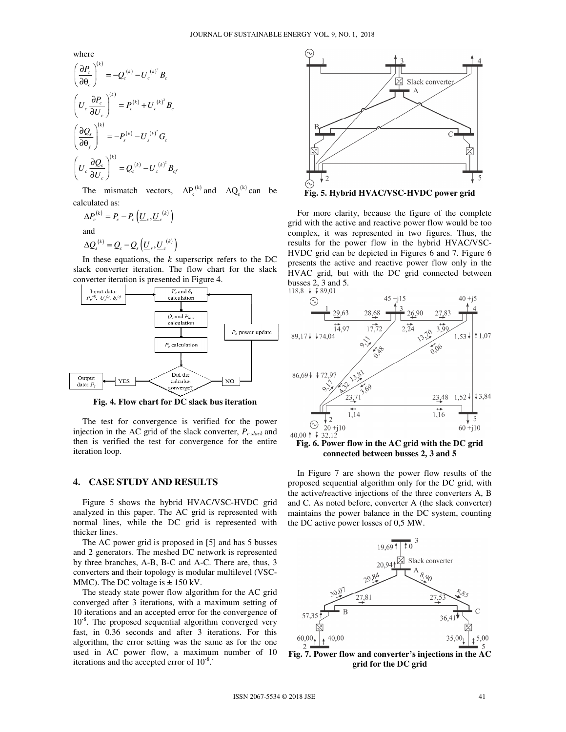where

$$
\left(\frac{\partial P_c}{\partial \theta_c}\right)^{(k)} = -Q_c^{(k)} - U_c^{(k)^2} B_c
$$
\n
$$
\left(U_c \frac{\partial P_c}{\partial U_c}\right)^{(k)} = P_c^{(k)} + U_c^{(k)^2} B_c
$$
\n
$$
\left(\frac{\partial Q_s}{\partial \theta_f}\right)^{(k)} = -P_s^{(k)} - U_s^{(k)^2} G_c
$$
\n
$$
\left(U_c \frac{\partial Q_s}{\partial U_c}\right)^{(k)} = Q_s^{(k)} - U_s^{(k)^2} B_c
$$

The mismatch vectors,  $\Delta P_c^{(k)}$  and  $\Delta Q_s^{(k)}$  can be calculated as:

$$
\Delta P_c^{(k)} = P_c - P_c \left( \underline{U}_s, \underline{U}_c^{(k)} \right)
$$
  
and  

$$
\Delta Q_s^{(k)} = Q_s - Q_s \left( \underline{U}_s, \underline{U}_c^{(k)} \right)
$$

In these equations, the  $k$  superscript refers to the DC slack converter iteration. The flow chart for the slack converter iteration is presented in Figure 4.



**Fig. 4. Flow chart for DC slack bus iteration** 

The test for convergence is verified for the power injection in the AC grid of the slack converter, *Pc,slack* and then is verified the test for convergence for the entire iteration loop.

## **4. CASE STUDY AND RESULTS**

Figure 5 shows the hybrid HVAC/VSC-HVDC grid analyzed in this paper. The AC grid is represented with normal lines, while the DC grid is represented with thicker lines.

The AC power grid is proposed in [5] and has 5 busses and 2 generators. The meshed DC network is represented by three branches, A-B, B-C and A-C. There are, thus, 3 converters and their topology is modular multilevel (VSC-MMC). The DC voltage is  $\pm$  150 kV.

The steady state power flow algorithm for the AC grid converged after 3 iterations, with a maximum setting of 10 iterations and an accepted error for the convergence of  $10^{-8}$ . The proposed sequential algorithm converged very fast, in 0.36 seconds and after 3 iterations. For this algorithm, the error setting was the same as for the one used in AC power flow, a maximum number of 10 iterations and the accepted error of  $10^{-8}$ .



For more clarity, because the figure of the complete

grid with the active and reactive power flow would be too complex, it was represented in two figures. Thus, the results for the power flow in the hybrid HVAC/VSC-HVDC grid can be depicted in Figures 6 and 7. Figure 6 presents the active and reactive power flow only in the HVAC grid, but with the DC grid connected between busses 2, 3 and 5.<br>118,8  $+$   $+$  89,01



**Fig. 6. Power flow in the AC grid with the DC grid connected between busses 2, 3 and 5** 

In Figure 7 are shown the power flow results of the proposed sequential algorithm only for the DC grid, with the active/reactive injections of the three converters A, B and C. As noted before, converter A (the slack converter) maintains the power balance in the DC system, counting the DC active power losses of 0,5 MW.



**Fig. 7. Power flow and converter's injections in the AC grid for the DC grid**